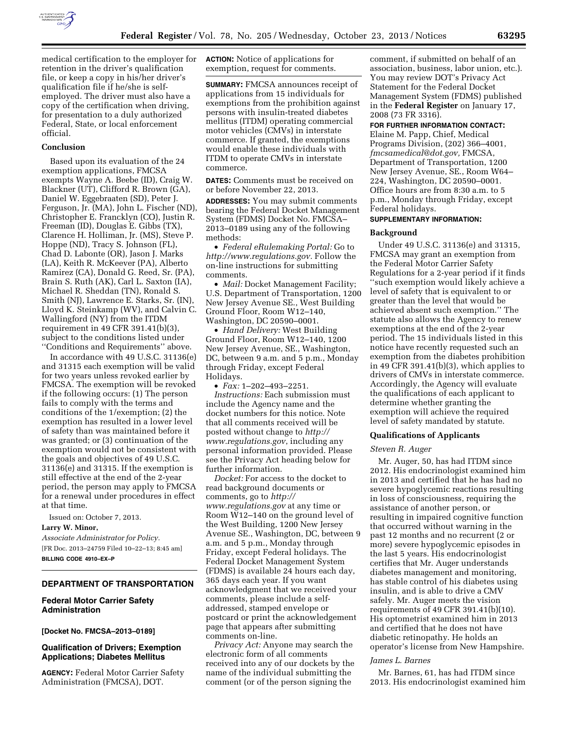

medical certification to the employer for retention in the driver's qualification file, or keep a copy in his/her driver's qualification file if he/she is selfemployed. The driver must also have a copy of the certification when driving, for presentation to a duly authorized Federal, State, or local enforcement official.

# **Conclusion**

Based upon its evaluation of the 24 exemption applications, FMCSA exempts Wayne A. Beebe (ID), Craig W. Blackner (UT), Clifford R. Brown (GA), Daniel W. Eggebraaten (SD), Peter J. Ferguson, Jr. (MA), John L. Fischer (ND), Christopher E. Francklyn (CO), Justin R. Freeman (ID), Douglas E. Gibbs (TX), Clarence H. Holliman, Jr. (MS), Steve P. Hoppe (ND), Tracy S. Johnson (FL), Chad D. Labonte (OR), Jason J. Marks (LA), Keith R. McKeever (PA), Alberto Ramirez (CA), Donald G. Reed, Sr. (PA), Brain S. Ruth (AK), Carl L. Saxton (IA), Michael R. Sheddan (TN), Ronald S. Smith (NJ), Lawrence E. Starks, Sr. (IN), Lloyd K. Steinkamp (WV), and Calvin C. Wallingford (NY) from the ITDM requirement in 49 CFR 391.41(b)(3), subject to the conditions listed under ''Conditions and Requirements'' above.

In accordance with 49 U.S.C. 31136(e) and 31315 each exemption will be valid for two years unless revoked earlier by FMCSA. The exemption will be revoked if the following occurs: (1) The person fails to comply with the terms and conditions of the 1/exemption; (2) the exemption has resulted in a lower level of safety than was maintained before it was granted; or (3) continuation of the exemption would not be consistent with the goals and objectives of 49 U.S.C. 31136(e) and 31315. If the exemption is still effective at the end of the 2-year period, the person may apply to FMCSA for a renewal under procedures in effect at that time.

Issued on: October 7, 2013.

**Larry W. Minor,** 

*Associate Administrator for Policy.*  [FR Doc. 2013–24759 Filed 10–22–13; 8:45 am] **BILLING CODE 4910–EX–P** 

# **DEPARTMENT OF TRANSPORTATION**

### **Federal Motor Carrier Safety Administration**

**[Docket No. FMCSA–2013–0189]** 

# **Qualification of Drivers; Exemption Applications; Diabetes Mellitus**

**AGENCY:** Federal Motor Carrier Safety Administration (FMCSA), DOT.

**ACTION:** Notice of applications for exemption, request for comments.

**SUMMARY:** FMCSA announces receipt of applications from 15 individuals for exemptions from the prohibition against persons with insulin-treated diabetes mellitus (ITDM) operating commercial motor vehicles (CMVs) in interstate commerce. If granted, the exemptions would enable these individuals with ITDM to operate CMVs in interstate commerce.

**DATES:** Comments must be received on or before November 22, 2013.

**ADDRESSES:** You may submit comments bearing the Federal Docket Management System (FDMS) Docket No. FMCSA– 2013–0189 using any of the following methods:

• *Federal eRulemaking Portal:* Go to *[http://www.regulations.gov.](http://www.regulations.gov)* Follow the on-line instructions for submitting comments.

• *Mail:* Docket Management Facility; U.S. Department of Transportation, 1200 New Jersey Avenue SE., West Building Ground Floor, Room W12–140, Washington, DC 20590–0001.

• *Hand Delivery:* West Building Ground Floor, Room W12–140, 1200 New Jersey Avenue, SE., Washington, DC, between 9 a.m. and 5 p.m., Monday through Friday, except Federal Holidays.

• *Fax:* 1–202–493–2251. *Instructions:* Each submission must include the Agency name and the docket numbers for this notice. Note that all comments received will be posted without change to *[http://](http://www.regulations.gov) [www.regulations.gov](http://www.regulations.gov)*, including any personal information provided. Please see the Privacy Act heading below for further information.

*Docket:* For access to the docket to read background documents or comments, go to *[http://](http://www.regulations.gov) [www.regulations.gov](http://www.regulations.gov)* at any time or Room W12–140 on the ground level of the West Building, 1200 New Jersey Avenue SE., Washington, DC, between 9 a.m. and 5 p.m., Monday through Friday, except Federal holidays. The Federal Docket Management System (FDMS) is available 24 hours each day, 365 days each year. If you want acknowledgment that we received your comments, please include a selfaddressed, stamped envelope or postcard or print the acknowledgement page that appears after submitting comments on-line.

*Privacy Act:* Anyone may search the electronic form of all comments received into any of our dockets by the name of the individual submitting the comment (or of the person signing the

comment, if submitted on behalf of an association, business, labor union, etc.). You may review DOT's Privacy Act Statement for the Federal Docket Management System (FDMS) published in the **Federal Register** on January 17, 2008 (73 FR 3316).

# **FOR FURTHER INFORMATION CONTACT:**

Elaine M. Papp, Chief, Medical Programs Division, (202) 366–4001, *[fmcsamedical@dot.gov,](mailto:fmcsamedical@dot.gov)* FMCSA, Department of Transportation, 1200 New Jersey Avenue, SE., Room W64– 224, Washington, DC 20590–0001. Office hours are from 8:30 a.m. to 5 p.m., Monday through Friday, except Federal holidays.

#### **SUPPLEMENTARY INFORMATION:**

### **Background**

Under 49 U.S.C. 31136(e) and 31315, FMCSA may grant an exemption from the Federal Motor Carrier Safety Regulations for a 2-year period if it finds ''such exemption would likely achieve a level of safety that is equivalent to or greater than the level that would be achieved absent such exemption.'' The statute also allows the Agency to renew exemptions at the end of the 2-year period. The 15 individuals listed in this notice have recently requested such an exemption from the diabetes prohibition in 49 CFR 391.41(b)(3), which applies to drivers of CMVs in interstate commerce. Accordingly, the Agency will evaluate the qualifications of each applicant to determine whether granting the exemption will achieve the required level of safety mandated by statute.

# **Qualifications of Applicants**

#### *Steven R. Auger*

Mr. Auger, 50, has had ITDM since 2012. His endocrinologist examined him in 2013 and certified that he has had no severe hypoglycemic reactions resulting in loss of consciousness, requiring the assistance of another person, or resulting in impaired cognitive function that occurred without warning in the past 12 months and no recurrent (2 or more) severe hypoglycemic episodes in the last 5 years. His endocrinologist certifies that Mr. Auger understands diabetes management and monitoring, has stable control of his diabetes using insulin, and is able to drive a CMV safely. Mr. Auger meets the vision requirements of 49 CFR 391.41(b)(10). His optometrist examined him in 2013 and certified that he does not have diabetic retinopathy. He holds an operator's license from New Hampshire.

#### *James L. Barnes*

Mr. Barnes, 61, has had ITDM since 2013. His endocrinologist examined him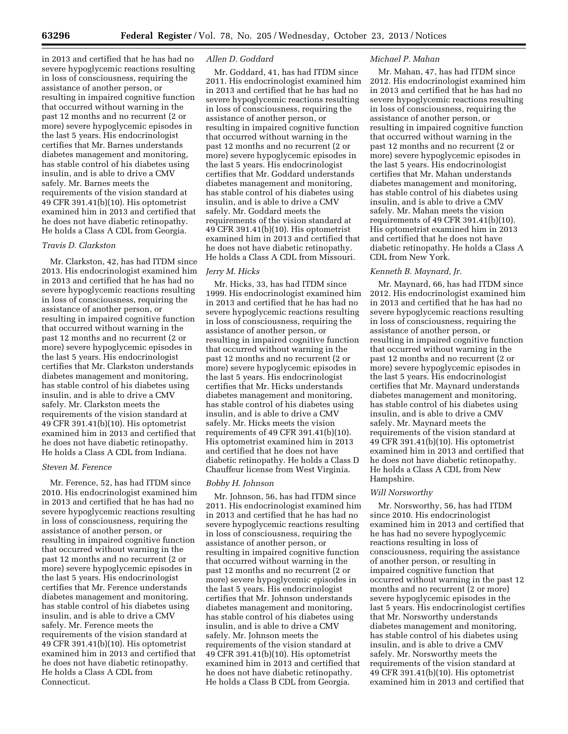in 2013 and certified that he has had no severe hypoglycemic reactions resulting in loss of consciousness, requiring the assistance of another person, or resulting in impaired cognitive function that occurred without warning in the past 12 months and no recurrent (2 or more) severe hypoglycemic episodes in the last 5 years. His endocrinologist certifies that Mr. Barnes understands diabetes management and monitoring, has stable control of his diabetes using insulin, and is able to drive a CMV safely. Mr. Barnes meets the requirements of the vision standard at 49 CFR 391.41(b)(10). His optometrist examined him in 2013 and certified that he does not have diabetic retinopathy. He holds a Class A CDL from Georgia.

# *Travis D. Clarkston*

Mr. Clarkston, 42, has had ITDM since 2013. His endocrinologist examined him in 2013 and certified that he has had no severe hypoglycemic reactions resulting in loss of consciousness, requiring the assistance of another person, or resulting in impaired cognitive function that occurred without warning in the past 12 months and no recurrent (2 or more) severe hypoglycemic episodes in the last 5 years. His endocrinologist certifies that Mr. Clarkston understands diabetes management and monitoring, has stable control of his diabetes using insulin, and is able to drive a CMV safely. Mr. Clarkston meets the requirements of the vision standard at 49 CFR 391.41(b)(10). His optometrist examined him in 2013 and certified that he does not have diabetic retinopathy. He holds a Class A CDL from Indiana.

### *Steven M. Ference*

Mr. Ference, 52, has had ITDM since 2010. His endocrinologist examined him in 2013 and certified that he has had no severe hypoglycemic reactions resulting in loss of consciousness, requiring the assistance of another person, or resulting in impaired cognitive function that occurred without warning in the past 12 months and no recurrent (2 or more) severe hypoglycemic episodes in the last 5 years. His endocrinologist certifies that Mr. Ference understands diabetes management and monitoring, has stable control of his diabetes using insulin, and is able to drive a CMV safely. Mr. Ference meets the requirements of the vision standard at 49 CFR 391.41(b)(10). His optometrist examined him in 2013 and certified that he does not have diabetic retinopathy. He holds a Class A CDL from Connecticut.

#### *Allen D. Goddard*

Mr. Goddard, 41, has had ITDM since 2011. His endocrinologist examined him in 2013 and certified that he has had no severe hypoglycemic reactions resulting in loss of consciousness, requiring the assistance of another person, or resulting in impaired cognitive function that occurred without warning in the past 12 months and no recurrent (2 or more) severe hypoglycemic episodes in the last 5 years. His endocrinologist certifies that Mr. Goddard understands diabetes management and monitoring, has stable control of his diabetes using insulin, and is able to drive a CMV safely. Mr. Goddard meets the requirements of the vision standard at 49 CFR 391.41(b)(10). His optometrist examined him in 2013 and certified that he does not have diabetic retinopathy. He holds a Class A CDL from Missouri.

# *Jerry M. Hicks*

Mr. Hicks, 33, has had ITDM since 1999. His endocrinologist examined him in 2013 and certified that he has had no severe hypoglycemic reactions resulting in loss of consciousness, requiring the assistance of another person, or resulting in impaired cognitive function that occurred without warning in the past 12 months and no recurrent (2 or more) severe hypoglycemic episodes in the last 5 years. His endocrinologist certifies that Mr. Hicks understands diabetes management and monitoring, has stable control of his diabetes using insulin, and is able to drive a CMV safely. Mr. Hicks meets the vision requirements of 49 CFR 391.41(b)(10). His optometrist examined him in 2013 and certified that he does not have diabetic retinopathy. He holds a Class D Chauffeur license from West Virginia.

### *Bobby H. Johnson*

Mr. Johnson, 56, has had ITDM since 2011. His endocrinologist examined him in 2013 and certified that he has had no severe hypoglycemic reactions resulting in loss of consciousness, requiring the assistance of another person, or resulting in impaired cognitive function that occurred without warning in the past 12 months and no recurrent (2 or more) severe hypoglycemic episodes in the last 5 years. His endocrinologist certifies that Mr. Johnson understands diabetes management and monitoring, has stable control of his diabetes using insulin, and is able to drive a CMV safely. Mr. Johnson meets the requirements of the vision standard at 49 CFR 391.41(b)(10). His optometrist examined him in 2013 and certified that he does not have diabetic retinopathy. He holds a Class B CDL from Georgia.

### *Michael P. Mahan*

Mr. Mahan, 47, has had ITDM since 2012. His endocrinologist examined him in 2013 and certified that he has had no severe hypoglycemic reactions resulting in loss of consciousness, requiring the assistance of another person, or resulting in impaired cognitive function that occurred without warning in the past 12 months and no recurrent (2 or more) severe hypoglycemic episodes in the last 5 years. His endocrinologist certifies that Mr. Mahan understands diabetes management and monitoring, has stable control of his diabetes using insulin, and is able to drive a CMV safely. Mr. Mahan meets the vision requirements of 49 CFR 391.41(b)(10). His optometrist examined him in 2013 and certified that he does not have diabetic retinopathy. He holds a Class A CDL from New York.

### *Kenneth B. Maynard, Jr.*

Mr. Maynard, 66, has had ITDM since 2012. His endocrinologist examined him in 2013 and certified that he has had no severe hypoglycemic reactions resulting in loss of consciousness, requiring the assistance of another person, or resulting in impaired cognitive function that occurred without warning in the past 12 months and no recurrent (2 or more) severe hypoglycemic episodes in the last 5 years. His endocrinologist certifies that Mr. Maynard understands diabetes management and monitoring, has stable control of his diabetes using insulin, and is able to drive a CMV safely. Mr. Maynard meets the requirements of the vision standard at 49 CFR 391.41(b)(10). His optometrist examined him in 2013 and certified that he does not have diabetic retinopathy. He holds a Class A CDL from New Hampshire.

### *Will Norsworthy*

Mr. Norsworthy, 56, has had ITDM since 2010. His endocrinologist examined him in 2013 and certified that he has had no severe hypoglycemic reactions resulting in loss of consciousness, requiring the assistance of another person, or resulting in impaired cognitive function that occurred without warning in the past 12 months and no recurrent (2 or more) severe hypoglycemic episodes in the last 5 years. His endocrinologist certifies that Mr. Norsworthy understands diabetes management and monitoring, has stable control of his diabetes using insulin, and is able to drive a CMV safely. Mr. Norsworthy meets the requirements of the vision standard at 49 CFR 391.41(b)(10). His optometrist examined him in 2013 and certified that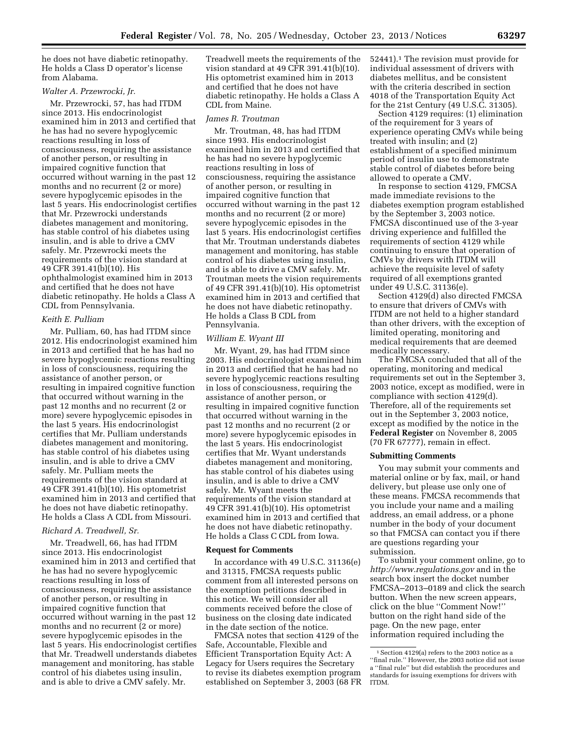he does not have diabetic retinopathy. He holds a Class D operator's license from Alabama.

### *Walter A. Przewrocki, Jr.*

Mr. Przewrocki, 57, has had ITDM since 2013. His endocrinologist examined him in 2013 and certified that he has had no severe hypoglycemic reactions resulting in loss of consciousness, requiring the assistance of another person, or resulting in impaired cognitive function that occurred without warning in the past 12 months and no recurrent (2 or more) severe hypoglycemic episodes in the last 5 years. His endocrinologist certifies that Mr. Przewrocki understands diabetes management and monitoring, has stable control of his diabetes using insulin, and is able to drive a CMV safely. Mr. Przewrocki meets the requirements of the vision standard at 49 CFR 391.41(b)(10). His ophthalmologist examined him in 2013 and certified that he does not have diabetic retinopathy. He holds a Class A CDL from Pennsylvania.

### *Keith E. Pulliam*

Mr. Pulliam, 60, has had ITDM since 2012. His endocrinologist examined him in 2013 and certified that he has had no severe hypoglycemic reactions resulting in loss of consciousness, requiring the assistance of another person, or resulting in impaired cognitive function that occurred without warning in the past 12 months and no recurrent (2 or more) severe hypoglycemic episodes in the last 5 years. His endocrinologist certifies that Mr. Pulliam understands diabetes management and monitoring, has stable control of his diabetes using insulin, and is able to drive a CMV safely. Mr. Pulliam meets the requirements of the vision standard at 49 CFR 391.41(b)(10). His optometrist examined him in 2013 and certified that he does not have diabetic retinopathy. He holds a Class A CDL from Missouri.

### *Richard A. Treadwell, Sr.*

Mr. Treadwell, 66, has had ITDM since 2013. His endocrinologist examined him in 2013 and certified that he has had no severe hypoglycemic reactions resulting in loss of consciousness, requiring the assistance of another person, or resulting in impaired cognitive function that occurred without warning in the past 12 months and no recurrent (2 or more) severe hypoglycemic episodes in the last 5 years. His endocrinologist certifies that Mr. Treadwell understands diabetes management and monitoring, has stable control of his diabetes using insulin, and is able to drive a CMV safely. Mr.

Treadwell meets the requirements of the vision standard at 49 CFR 391.41(b)(10). His optometrist examined him in 2013 and certified that he does not have diabetic retinopathy. He holds a Class A CDL from Maine.

#### *James R. Troutman*

Mr. Troutman, 48, has had ITDM since 1993. His endocrinologist examined him in 2013 and certified that he has had no severe hypoglycemic reactions resulting in loss of consciousness, requiring the assistance of another person, or resulting in impaired cognitive function that occurred without warning in the past 12 months and no recurrent (2 or more) severe hypoglycemic episodes in the last 5 years. His endocrinologist certifies that Mr. Troutman understands diabetes management and monitoring, has stable control of his diabetes using insulin, and is able to drive a CMV safely. Mr. Troutman meets the vision requirements of 49 CFR 391.41(b)(10). His optometrist examined him in 2013 and certified that he does not have diabetic retinopathy. He holds a Class B CDL from Pennsylvania.

# *William E. Wyant III*

Mr. Wyant, 29, has had ITDM since 2003. His endocrinologist examined him in 2013 and certified that he has had no severe hypoglycemic reactions resulting in loss of consciousness, requiring the assistance of another person, or resulting in impaired cognitive function that occurred without warning in the past 12 months and no recurrent (2 or more) severe hypoglycemic episodes in the last 5 years. His endocrinologist certifies that Mr. Wyant understands diabetes management and monitoring, has stable control of his diabetes using insulin, and is able to drive a CMV safely. Mr. Wyant meets the requirements of the vision standard at 49 CFR 391.41(b)(10). His optometrist examined him in 2013 and certified that he does not have diabetic retinopathy. He holds a Class C CDL from Iowa.

### **Request for Comments**

In accordance with 49 U.S.C. 31136(e) and 31315, FMCSA requests public comment from all interested persons on the exemption petitions described in this notice. We will consider all comments received before the close of business on the closing date indicated in the date section of the notice.

FMCSA notes that section 4129 of the Safe, Accountable, Flexible and Efficient Transportation Equity Act: A Legacy for Users requires the Secretary to revise its diabetes exemption program established on September 3, 2003 (68 FR

52441).1 The revision must provide for individual assessment of drivers with diabetes mellitus, and be consistent with the criteria described in section 4018 of the Transportation Equity Act for the 21st Century (49 U.S.C. 31305).

Section 4129 requires: (1) elimination of the requirement for 3 years of experience operating CMVs while being treated with insulin; and (2) establishment of a specified minimum period of insulin use to demonstrate stable control of diabetes before being allowed to operate a CMV.

In response to section 4129, FMCSA made immediate revisions to the diabetes exemption program established by the September 3, 2003 notice. FMCSA discontinued use of the 3-year driving experience and fulfilled the requirements of section 4129 while continuing to ensure that operation of CMVs by drivers with ITDM will achieve the requisite level of safety required of all exemptions granted under 49 U.S.C. 31136(e).

Section 4129(d) also directed FMCSA to ensure that drivers of CMVs with ITDM are not held to a higher standard than other drivers, with the exception of limited operating, monitoring and medical requirements that are deemed medically necessary.

The FMCSA concluded that all of the operating, monitoring and medical requirements set out in the September 3, 2003 notice, except as modified, were in compliance with section 4129(d). Therefore, all of the requirements set out in the September 3, 2003 notice, except as modified by the notice in the **Federal Register** on November 8, 2005 (70 FR 67777), remain in effect.

#### **Submitting Comments**

You may submit your comments and material online or by fax, mail, or hand delivery, but please use only one of these means. FMCSA recommends that you include your name and a mailing address, an email address, or a phone number in the body of your document so that FMCSA can contact you if there are questions regarding your submission.

To submit your comment online, go to *<http://www.regulations.gov>* and in the search box insert the docket number FMCSA–2013–0189 and click the search button. When the new screen appears, click on the blue ''Comment Now!'' button on the right hand side of the page. On the new page, enter information required including the

 $^{\rm 1}$  Section 4129(a) refers to the 2003 notice as a ''final rule.'' However, the 2003 notice did not issue a ''final rule'' but did establish the procedures and standards for issuing exemptions for drivers with ITDM.